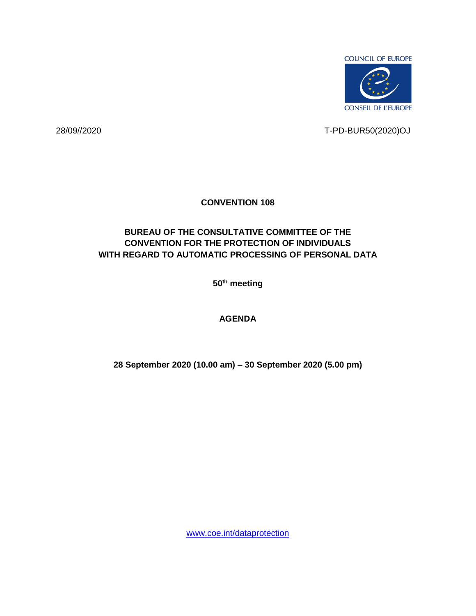

28/09//2020 T-PD-BUR50(2020)OJ

## **CONVENTION 108**

## **BUREAU OF THE CONSULTATIVE COMMITTEE OF THE CONVENTION FOR THE PROTECTION OF INDIVIDUALS WITH REGARD TO AUTOMATIC PROCESSING OF PERSONAL DATA**

**50th meeting** 

## **AGENDA**

**28 September 2020 (10.00 am) – 30 September 2020 (5.00 pm)**

[www.coe.int/dataprotection](http://www.coe.int/dataprotection)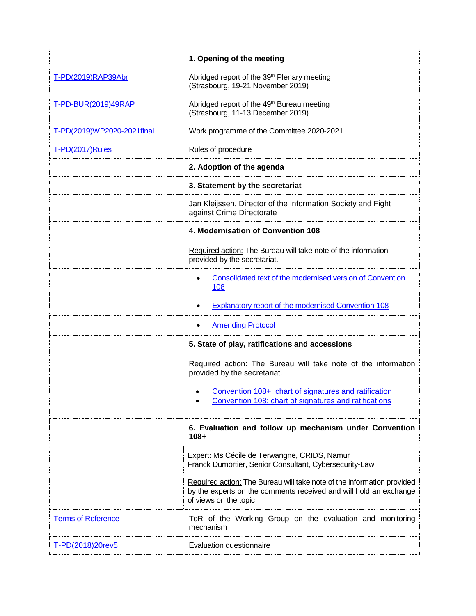|                            | 1. Opening of the meeting                                                                                                                                            |  |  |  |
|----------------------------|----------------------------------------------------------------------------------------------------------------------------------------------------------------------|--|--|--|
| T-PD(2019)RAP39Abr         | Abridged report of the 39th Plenary meeting<br>(Strasbourg, 19-21 November 2019)                                                                                     |  |  |  |
| T-PD-BUR(2019)49RAP        | Abridged report of the 49th Bureau meeting<br>(Strasbourg, 11-13 December 2019)                                                                                      |  |  |  |
| T-PD(2019)WP2020-2021final | Work programme of the Committee 2020-2021                                                                                                                            |  |  |  |
| T-PD(2017)Rules            | Rules of procedure                                                                                                                                                   |  |  |  |
|                            | 2. Adoption of the agenda                                                                                                                                            |  |  |  |
|                            | 3. Statement by the secretariat                                                                                                                                      |  |  |  |
|                            | Jan Kleijssen, Director of the Information Society and Fight<br>against Crime Directorate                                                                            |  |  |  |
|                            | 4. Modernisation of Convention 108                                                                                                                                   |  |  |  |
|                            | Required action: The Bureau will take note of the information<br>provided by the secretariat.                                                                        |  |  |  |
|                            | Consolidated text of the modernised version of Convention<br>108                                                                                                     |  |  |  |
|                            | <b>Explanatory report of the modernised Convention 108</b>                                                                                                           |  |  |  |
|                            | <b>Amending Protocol</b>                                                                                                                                             |  |  |  |
|                            | 5. State of play, ratifications and accessions                                                                                                                       |  |  |  |
|                            | Required action: The Bureau will take note of the information<br>provided by the secretariat.                                                                        |  |  |  |
|                            | Convention 108+: chart of signatures and ratification<br>٠<br>Convention 108: chart of signatures and ratifications                                                  |  |  |  |
|                            | 6. Evaluation and follow up mechanism under Convention<br>$108 +$                                                                                                    |  |  |  |
|                            | Expert: Ms Cécile de Terwangne, CRIDS, Namur<br>Franck Dumortier, Senior Consultant, Cybersecurity-Law                                                               |  |  |  |
|                            | Required action: The Bureau will take note of the information provided<br>by the experts on the comments received and will hold an exchange<br>of views on the topic |  |  |  |
| <b>Terms of Reference</b>  | ToR of the Working Group on the evaluation and monitoring<br>mechanism                                                                                               |  |  |  |
| T-PD(2018)20rev5           | Evaluation questionnaire                                                                                                                                             |  |  |  |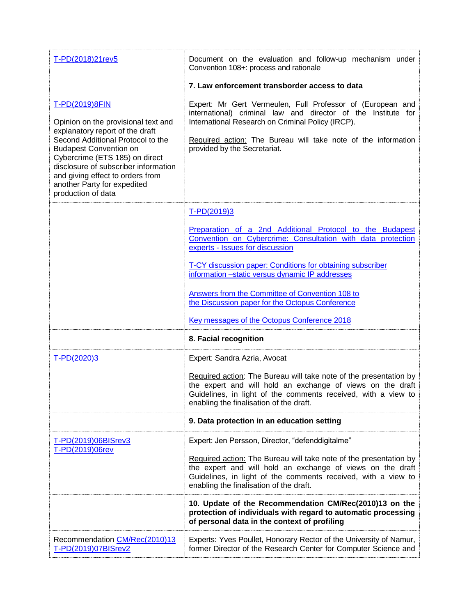| T-PD(2018)21rev5                                                                                                                                                                                                                                                                                                                  | Document on the evaluation and follow-up mechanism under<br>Convention 108+: process and rationale                                                                                                                                                                                                                                                                                                                                              |  |  |  |  |
|-----------------------------------------------------------------------------------------------------------------------------------------------------------------------------------------------------------------------------------------------------------------------------------------------------------------------------------|-------------------------------------------------------------------------------------------------------------------------------------------------------------------------------------------------------------------------------------------------------------------------------------------------------------------------------------------------------------------------------------------------------------------------------------------------|--|--|--|--|
|                                                                                                                                                                                                                                                                                                                                   | 7. Law enforcement transborder access to data                                                                                                                                                                                                                                                                                                                                                                                                   |  |  |  |  |
| T-PD(2019)8FIN<br>Opinion on the provisional text and<br>explanatory report of the draft<br>Second Additional Protocol to the<br><b>Budapest Convention on</b><br>Cybercrime (ETS 185) on direct<br>disclosure of subscriber information<br>and giving effect to orders from<br>another Party for expedited<br>production of data | Expert: Mr Gert Vermeulen, Full Professor of (European and<br>international) criminal law and director of the Institute for<br>International Research on Criminal Policy (IRCP).<br>Required action: The Bureau will take note of the information<br>provided by the Secretariat.                                                                                                                                                               |  |  |  |  |
|                                                                                                                                                                                                                                                                                                                                   | T-PD(2019)3<br>Preparation of a 2nd Additional Protocol to the Budapest<br>Convention on Cybercrime: Consultation with data protection<br>experts - Issues for discussion<br>T-CY discussion paper: Conditions for obtaining subscriber<br>information -static versus dynamic IP addresses<br>Answers from the Committee of Convention 108 to<br>the Discussion paper for the Octopus Conference<br>Key messages of the Octopus Conference 2018 |  |  |  |  |
|                                                                                                                                                                                                                                                                                                                                   | 8. Facial recognition                                                                                                                                                                                                                                                                                                                                                                                                                           |  |  |  |  |
| T-PD(2020)3                                                                                                                                                                                                                                                                                                                       | Expert: Sandra Azria, Avocat<br>Required action: The Bureau will take note of the presentation by<br>the expert and will hold an exchange of views on the draft<br>Guidelines, in light of the comments received, with a view to<br>enabling the finalisation of the draft.                                                                                                                                                                     |  |  |  |  |
|                                                                                                                                                                                                                                                                                                                                   | 9. Data protection in an education setting                                                                                                                                                                                                                                                                                                                                                                                                      |  |  |  |  |
| T-PD(2019)06BISrev3<br>T-PD(2019)06rev                                                                                                                                                                                                                                                                                            | Expert: Jen Persson, Director, "defenddigitalme"<br>Required action: The Bureau will take note of the presentation by<br>the expert and will hold an exchange of views on the draft<br>Guidelines, in light of the comments received, with a view to<br>enabling the finalisation of the draft.                                                                                                                                                 |  |  |  |  |
|                                                                                                                                                                                                                                                                                                                                   | 10. Update of the Recommendation CM/Rec(2010)13 on the<br>protection of individuals with regard to automatic processing<br>of personal data in the context of profiling                                                                                                                                                                                                                                                                         |  |  |  |  |
| Recommendation CM/Rec(2010)13<br>T-PD(2019)07BISrev2                                                                                                                                                                                                                                                                              | Experts: Yves Poullet, Honorary Rector of the University of Namur,<br>former Director of the Research Center for Computer Science and                                                                                                                                                                                                                                                                                                           |  |  |  |  |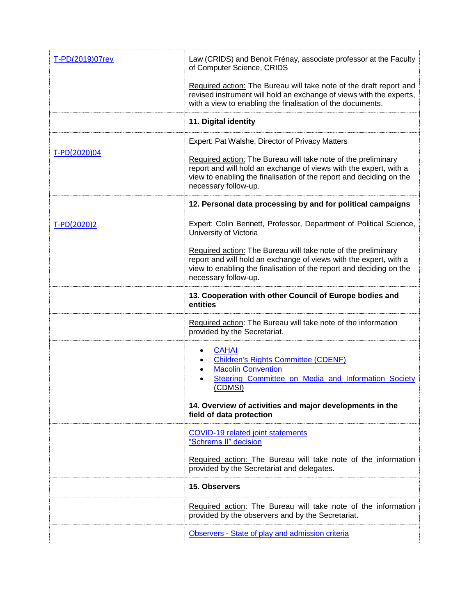| T-PD(2019)07rev | Law (CRIDS) and Benoit Frénay, associate professor at the Faculty<br>of Computer Science, CRIDS                                                                                                                                   |  |  |  |
|-----------------|-----------------------------------------------------------------------------------------------------------------------------------------------------------------------------------------------------------------------------------|--|--|--|
|                 | Required action: The Bureau will take note of the draft report and<br>revised instrument will hold an exchange of views with the experts,<br>with a view to enabling the finalisation of the documents.                           |  |  |  |
|                 | 11. Digital identity                                                                                                                                                                                                              |  |  |  |
| T-PD(2020)04    | Expert: Pat Walshe, Director of Privacy Matters                                                                                                                                                                                   |  |  |  |
|                 | Required action: The Bureau will take note of the preliminary<br>report and will hold an exchange of views with the expert, with a<br>view to enabling the finalisation of the report and deciding on the<br>necessary follow-up. |  |  |  |
|                 | 12. Personal data processing by and for political campaigns                                                                                                                                                                       |  |  |  |
| T-PD(2020)2     | Expert: Colin Bennett, Professor, Department of Political Science,<br>University of Victoria                                                                                                                                      |  |  |  |
|                 | Required action: The Bureau will take note of the preliminary<br>report and will hold an exchange of views with the expert, with a<br>view to enabling the finalisation of the report and deciding on the<br>necessary follow-up. |  |  |  |
|                 | 13. Cooperation with other Council of Europe bodies and<br>entities                                                                                                                                                               |  |  |  |
|                 | Required action: The Bureau will take note of the information<br>provided by the Secretariat.                                                                                                                                     |  |  |  |
|                 | <b>CAHAI</b><br><b>Children's Rights Committee (CDENF)</b><br><b>Macolin Convention</b><br>Steering Committee on Media and Information Society<br>(CDMSI)                                                                         |  |  |  |
|                 | 14. Overview of activities and major developments in the<br>field of data protection                                                                                                                                              |  |  |  |
|                 | <b>COVID-19 related joint statements</b><br>"Schrems II" decision                                                                                                                                                                 |  |  |  |
|                 | Required action: The Bureau will take note of the information<br>provided by the Secretariat and delegates.                                                                                                                       |  |  |  |
|                 | 15. Observers                                                                                                                                                                                                                     |  |  |  |
|                 | Required action: The Bureau will take note of the information<br>provided by the observers and by the Secretariat.                                                                                                                |  |  |  |
|                 | Observers - State of play and admission criteria                                                                                                                                                                                  |  |  |  |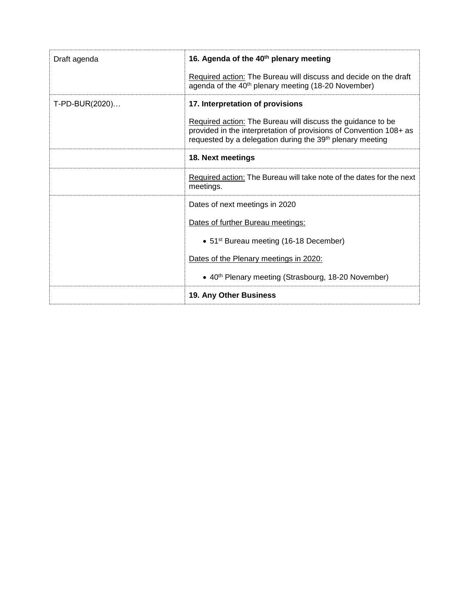| Draft agenda   | 16. Agenda of the 40 <sup>th</sup> plenary meeting                                                                                                                                                         |  |  |  |
|----------------|------------------------------------------------------------------------------------------------------------------------------------------------------------------------------------------------------------|--|--|--|
|                | Required action: The Bureau will discuss and decide on the draft<br>agenda of the 40 <sup>th</sup> plenary meeting (18-20 November)                                                                        |  |  |  |
| T-PD-BUR(2020) | 17. Interpretation of provisions                                                                                                                                                                           |  |  |  |
|                | Required action: The Bureau will discuss the guidance to be<br>provided in the interpretation of provisions of Convention 108+ as<br>requested by a delegation during the 39 <sup>th</sup> plenary meeting |  |  |  |
|                | 18. Next meetings                                                                                                                                                                                          |  |  |  |
|                | Required action: The Bureau will take note of the dates for the next<br>meetings.                                                                                                                          |  |  |  |
|                | Dates of next meetings in 2020                                                                                                                                                                             |  |  |  |
|                | Dates of further Bureau meetings:                                                                                                                                                                          |  |  |  |
|                | • 51 <sup>st</sup> Bureau meeting (16-18 December)                                                                                                                                                         |  |  |  |
|                | Dates of the Plenary meetings in 2020:                                                                                                                                                                     |  |  |  |
|                | • 40 <sup>th</sup> Plenary meeting (Strasbourg, 18-20 November)                                                                                                                                            |  |  |  |
|                | <b>19. Any Other Business</b>                                                                                                                                                                              |  |  |  |